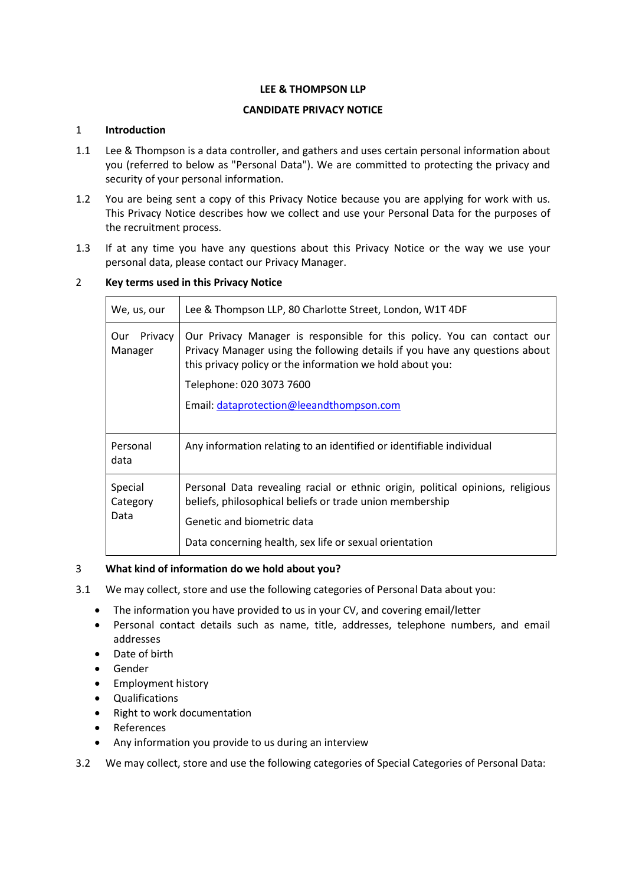# **LEE & THOMPSON LLP**

# **CANDIDATE PRIVACY NOTICE**

### 1 **Introduction**

- 1.1 Lee & Thompson is a data controller, and gathers and uses certain personal information about you (referred to below as "Personal Data"). We are committed to protecting the privacy and security of your personal information.
- 1.2 You are being sent a copy of this Privacy Notice because you are applying for work with us. This Privacy Notice describes how we collect and use your Personal Data for the purposes of the recruitment process.
- 1.3 If at any time you have any questions about this Privacy Notice or the way we use your personal data, please contact our Privacy Manager.

# 2 **Key terms used in this Privacy Notice**

| We, us, our                 | Lee & Thompson LLP, 80 Charlotte Street, London, W1T 4DF                                                                                                                                                                                                                                    |
|-----------------------------|---------------------------------------------------------------------------------------------------------------------------------------------------------------------------------------------------------------------------------------------------------------------------------------------|
| Privacy<br>Our<br>Manager   | Our Privacy Manager is responsible for this policy. You can contact our<br>Privacy Manager using the following details if you have any questions about<br>this privacy policy or the information we hold about you:<br>Telephone: 020 3073 7600<br>Email: dataprotection@leeandthompson.com |
| Personal<br>data            | Any information relating to an identified or identifiable individual                                                                                                                                                                                                                        |
| Special<br>Category<br>Data | Personal Data revealing racial or ethnic origin, political opinions, religious<br>beliefs, philosophical beliefs or trade union membership<br>Genetic and biometric data<br>Data concerning health, sex life or sexual orientation                                                          |

### 3 **What kind of information do we hold about you?**

- 3.1 We may collect, store and use the following categories of Personal Data about you:
	- The information you have provided to us in your CV, and covering email/letter
	- Personal contact details such as name, title, addresses, telephone numbers, and email addresses
	- Date of birth
	- Gender
	- Employment history
	- Qualifications
	- Right to work documentation
	- References
	- Any information you provide to us during an interview

3.2 We may collect, store and use the following categories of Special Categories of Personal Data: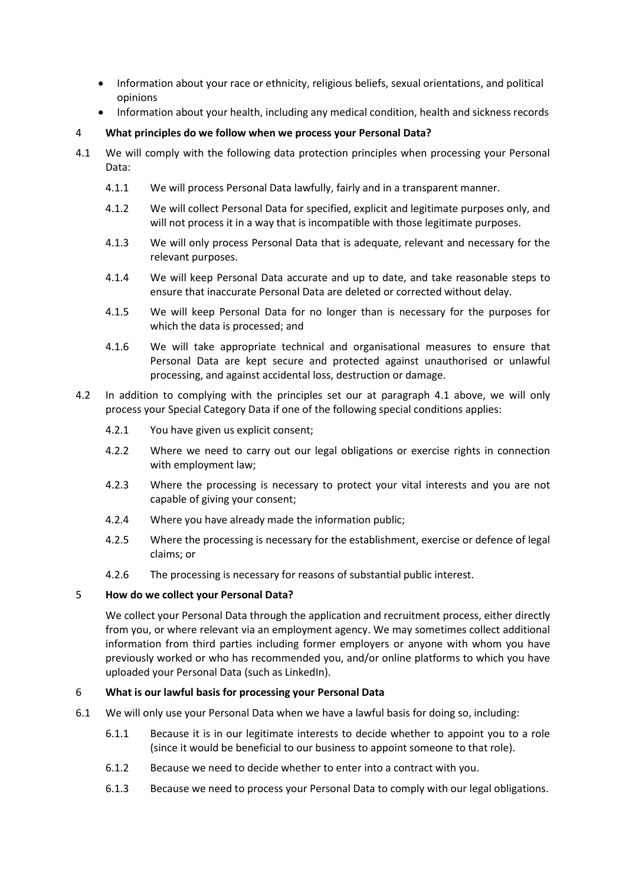- Information about your race or ethnicity, religious beliefs, sexual orientations, and political opinions
- Information about your health, including any medical condition, health and sickness records
- 4 **What principles do we follow when we process your Personal Data?**
- 4.1 We will comply with the following data protection principles when processing your Personal Data:
	- 4.1.1 We will process Personal Data lawfully, fairly and in a transparent manner.
	- 4.1.2 We will collect Personal Data for specified, explicit and legitimate purposes only, and will not process it in a way that is incompatible with those legitimate purposes.
	- 4.1.3 We will only process Personal Data that is adequate, relevant and necessary for the relevant purposes.
	- 4.1.4 We will keep Personal Data accurate and up to date, and take reasonable steps to ensure that inaccurate Personal Data are deleted or corrected without delay.
	- 4.1.5 We will keep Personal Data for no longer than is necessary for the purposes for which the data is processed; and
	- 4.1.6 We will take appropriate technical and organisational measures to ensure that Personal Data are kept secure and protected against unauthorised or unlawful processing, and against accidental loss, destruction or damage.
- 4.2 In addition to complying with the principles set our at paragraph 4.1 above, we will only process your Special Category Data if one of the following special conditions applies:
	- 4.2.1 You have given us explicit consent;
	- 4.2.2 Where we need to carry out our legal obligations or exercise rights in connection with employment law;
	- 4.2.3 Where the processing is necessary to protect your vital interests and you are not capable of giving your consent;
	- 4.2.4 Where you have already made the information public;
	- 4.2.5 Where the processing is necessary for the establishment, exercise or defence of legal claims; or
	- 4.2.6 The processing is necessary for reasons of substantial public interest.

### 5 **How do we collect your Personal Data?**

We collect your Personal Data through the application and recruitment process, either directly from you, or where relevant via an employment agency. We may sometimes collect additional information from third parties including former employers or anyone with whom you have previously worked or who has recommended you, and/or online platforms to which you have uploaded your Personal Data (such as LinkedIn).

### 6 **What is our lawful basis for processing your Personal Data**

- 6.1 We will only use your Personal Data when we have a lawful basis for doing so, including:
	- 6.1.1 Because it is in our legitimate interests to decide whether to appoint you to a role (since it would be beneficial to our business to appoint someone to that role).
	- 6.1.2 Because we need to decide whether to enter into a contract with you.
	- 6.1.3 Because we need to process your Personal Data to comply with our legal obligations.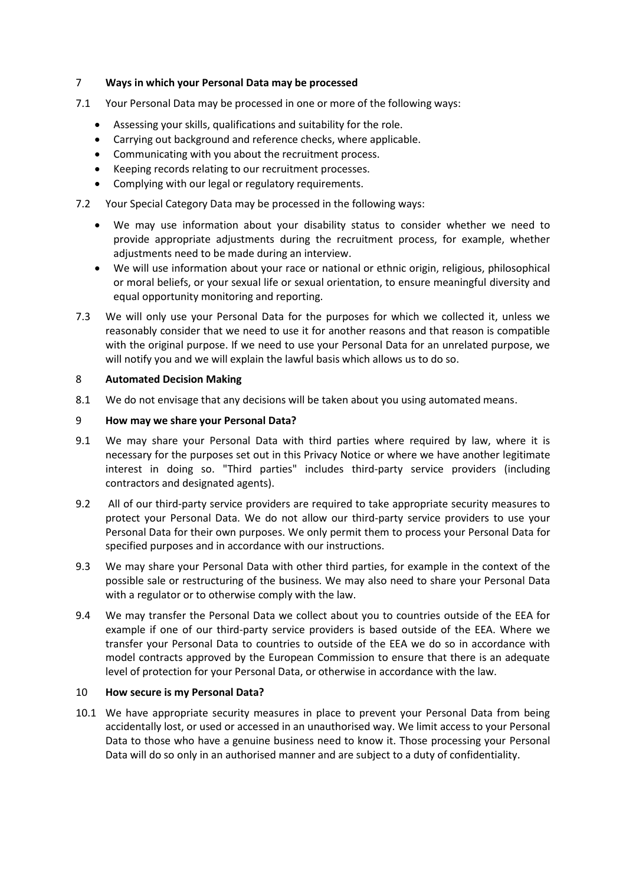# 7 **Ways in which your Personal Data may be processed**

- 7.1 Your Personal Data may be processed in one or more of the following ways:
	- Assessing your skills, qualifications and suitability for the role.
	- Carrying out background and reference checks, where applicable.
	- Communicating with you about the recruitment process.
	- Keeping records relating to our recruitment processes.
	- Complying with our legal or regulatory requirements.
- 7.2 Your Special Category Data may be processed in the following ways:
	- We may use information about your disability status to consider whether we need to provide appropriate adjustments during the recruitment process, for example, whether adjustments need to be made during an interview.
	- We will use information about your race or national or ethnic origin, religious, philosophical or moral beliefs, or your sexual life or sexual orientation, to ensure meaningful diversity and equal opportunity monitoring and reporting.
- 7.3 We will only use your Personal Data for the purposes for which we collected it, unless we reasonably consider that we need to use it for another reasons and that reason is compatible with the original purpose. If we need to use your Personal Data for an unrelated purpose, we will notify you and we will explain the lawful basis which allows us to do so.

### 8 **Automated Decision Making**

8.1 We do not envisage that any decisions will be taken about you using automated means.

#### 9 **How may we share your Personal Data?**

- 9.1 We may share your Personal Data with third parties where required by law, where it is necessary for the purposes set out in this Privacy Notice or where we have another legitimate interest in doing so. "Third parties" includes third-party service providers (including contractors and designated agents).
- 9.2 All of our third-party service providers are required to take appropriate security measures to protect your Personal Data. We do not allow our third-party service providers to use your Personal Data for their own purposes. We only permit them to process your Personal Data for specified purposes and in accordance with our instructions.
- 9.3 We may share your Personal Data with other third parties, for example in the context of the possible sale or restructuring of the business. We may also need to share your Personal Data with a regulator or to otherwise comply with the law.
- 9.4 We may transfer the Personal Data we collect about you to countries outside of the EEA for example if one of our third-party service providers is based outside of the EEA. Where we transfer your Personal Data to countries to outside of the EEA we do so in accordance with model contracts approved by the European Commission to ensure that there is an adequate level of protection for your Personal Data, or otherwise in accordance with the law.

### 10 **How secure is my Personal Data?**

10.1 We have appropriate security measures in place to prevent your Personal Data from being accidentally lost, or used or accessed in an unauthorised way. We limit access to your Personal Data to those who have a genuine business need to know it. Those processing your Personal Data will do so only in an authorised manner and are subject to a duty of confidentiality.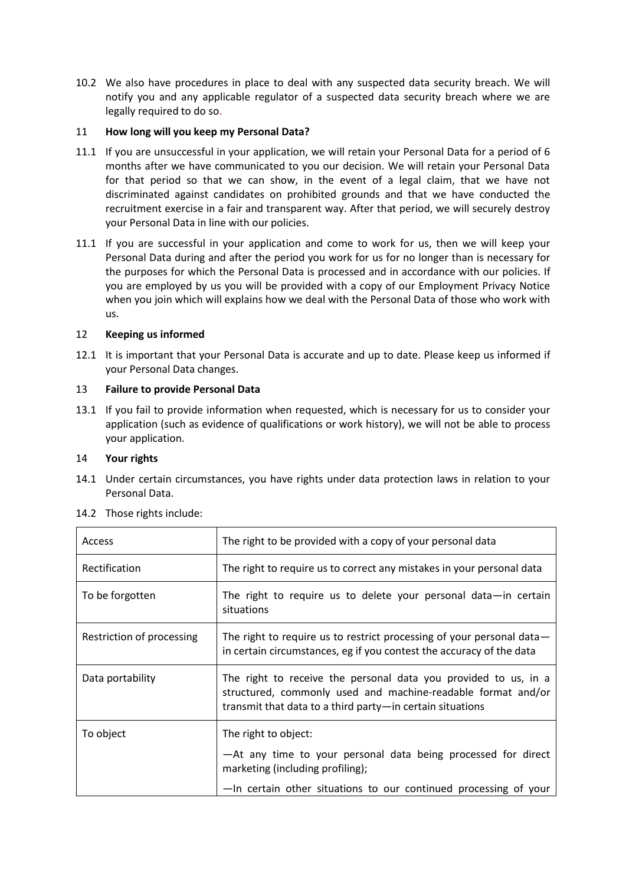10.2 We also have procedures in place to deal with any suspected data security breach. We will notify you and any applicable regulator of a suspected data security breach where we are legally required to do so.

# 11 **How long will you keep my Personal Data?**

- 11.1 If you are unsuccessful in your application, we will retain your Personal Data for a period of 6 months after we have communicated to you our decision. We will retain your Personal Data for that period so that we can show, in the event of a legal claim, that we have not discriminated against candidates on prohibited grounds and that we have conducted the recruitment exercise in a fair and transparent way. After that period, we will securely destroy your Personal Data in line with our policies.
- 11.1 If you are successful in your application and come to work for us, then we will keep your Personal Data during and after the period you work for us for no longer than is necessary for the purposes for which the Personal Data is processed and in accordance with our policies. If you are employed by us you will be provided with a copy of our Employment Privacy Notice when you join which will explains how we deal with the Personal Data of those who work with us.

# 12 **Keeping us informed**

12.1 It is important that your Personal Data is accurate and up to date. Please keep us informed if your Personal Data changes.

# 13 **Failure to provide Personal Data**

13.1 If you fail to provide information when requested, which is necessary for us to consider your application (such as evidence of qualifications or work history), we will not be able to process your application.

### 14 **Your rights**

14.1 Under certain circumstances, you have rights under data protection laws in relation to your Personal Data.

| Access                    | The right to be provided with a copy of your personal data                                                                                                                                    |
|---------------------------|-----------------------------------------------------------------------------------------------------------------------------------------------------------------------------------------------|
| Rectification             | The right to require us to correct any mistakes in your personal data                                                                                                                         |
| To be forgotten           | The right to require us to delete your personal data-in certain<br>situations                                                                                                                 |
| Restriction of processing | The right to require us to restrict processing of your personal data-<br>in certain circumstances, eg if you contest the accuracy of the data                                                 |
| Data portability          | The right to receive the personal data you provided to us, in a<br>structured, commonly used and machine-readable format and/or<br>transmit that data to a third party-in certain situations  |
| To object                 | The right to object:<br>-At any time to your personal data being processed for direct<br>marketing (including profiling);<br>-In certain other situations to our continued processing of your |

14.2 Those rights include: